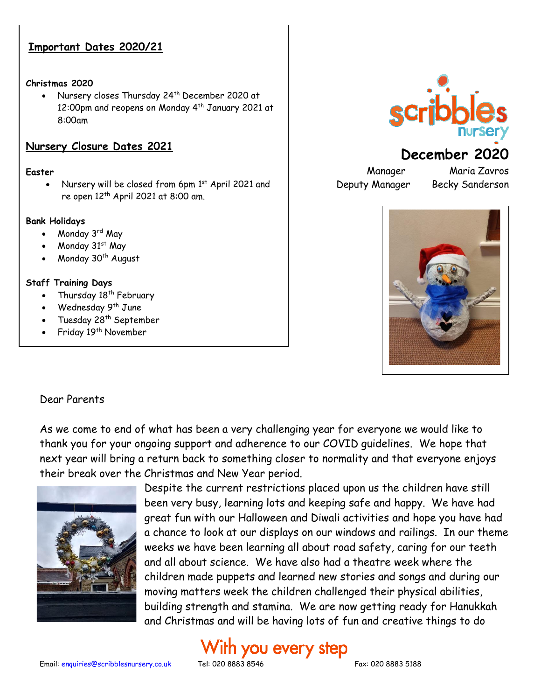### **Important Dates 2020/21**

### **Christmas 2020**

Nursery closes Thursday 24<sup>th</sup> December 2020 at 12:00pm and reopens on Monday 4<sup>th</sup> January 2021 at 8:00am

### **Nursery Closure Dates 2021**

### **Easter**

Nursery will be closed from 6pm 1st April 2021 and re open 12<sup>th</sup> April 2021 at 8:00 am.

### **Bank Holidays**

- Monday 3rd May
- Monday 31st May
- Monday 30<sup>th</sup> August

### **Staff Training Days**

- Thursday  $18<sup>th</sup>$  February
- Wednesday 9<sup>th</sup> June
- Tuesday 28<sup>th</sup> September
- Friday 19<sup>th</sup> November



# **December 2020**

Deputy Manager Becky Sanderson

Manager Maria Zavros



#### Dear Parents  $\frac{1}{2}$

As we come to end of what has been a very challenging year for everyone we would like to thank you for your ongoing support and adherence to our COVID guidelines. We hope that next year will bring a return back to something closer to normality and that everyone enjoys their break over the Christmas and New Year period.



Despite the current restrictions placed upon us the children have still been very busy, learning lots and keeping safe and happy. We have had great fun with our Halloween and Diwali activities and hope you have had a chance to look at our displays on our windows and railings. In our theme weeks we have been learning all about road safety, caring for our teeth and all about science. We have also had a theatre week where the children made puppets and learned new stories and songs and during our moving matters week the children challenged their physical abilities, building strength and stamina. We are now getting ready for Hanukkah and Christmas and will be having lots of fun and creative things to do

# With you every step

Email[: enquiries@scribblesnursery.co.uk](mailto:enquiries@scribblesnursery.co.uk) Tel: 020 8883 8546 Fax: 020 8883 5188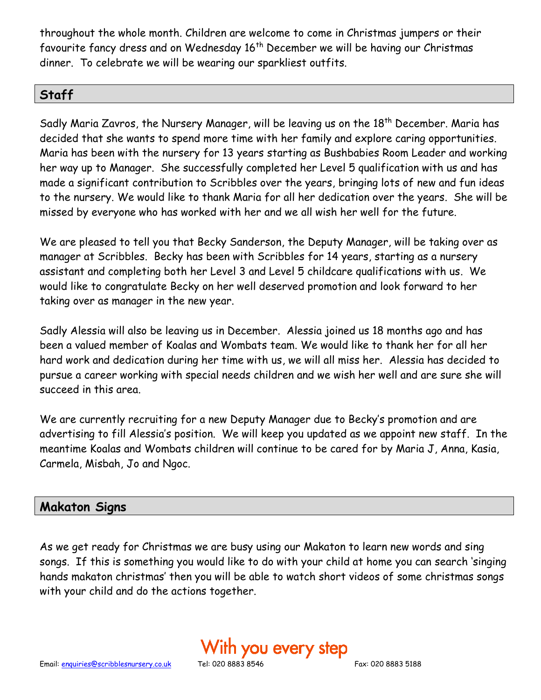throughout the whole month. Children are welcome to come in Christmas jumpers or their favourite fancy dress and on Wednesday 16<sup>th</sup> December we will be having our Christmas dinner. To celebrate we will be wearing our sparkliest outfits.

# **Staff**

Sadly Maria Zavros, the Nursery Manager, will be leaving us on the 18<sup>th</sup> December. Maria has decided that she wants to spend more time with her family and explore caring opportunities. Maria has been with the nursery for 13 years starting as Bushbabies Room Leader and working her way up to Manager. She successfully completed her Level 5 qualification with us and has made a significant contribution to Scribbles over the years, bringing lots of new and fun ideas to the nursery. We would like to thank Maria for all her dedication over the years. She will be missed by everyone who has worked with her and we all wish her well for the future.

We are pleased to tell you that Becky Sanderson, the Deputy Manager, will be taking over as manager at Scribbles. Becky has been with Scribbles for 14 years, starting as a nursery assistant and completing both her Level 3 and Level 5 childcare qualifications with us. We would like to congratulate Becky on her well deserved promotion and look forward to her taking over as manager in the new year.

Sadly Alessia will also be leaving us in December. Alessia joined us 18 months ago and has been a valued member of Koalas and Wombats team. We would like to thank her for all her hard work and dedication during her time with us, we will all miss her. Alessia has decided to pursue a career working with special needs children and we wish her well and are sure she will succeed in this area.

We are currently recruiting for a new Deputy Manager due to Becky's promotion and are advertising to fill Alessia's position. We will keep you updated as we appoint new staff. In the meantime Koalas and Wombats children will continue to be cared for by Maria J, Anna, Kasia, Carmela, Misbah, Jo and Ngoc.

# **Makaton Signs**

As we get ready for Christmas we are busy using our Makaton to learn new words and sing songs. If this is something you would like to do with your child at home you can search 'singing hands makaton christmas' then you will be able to watch short videos of some christmas songs with your child and do the actions together.